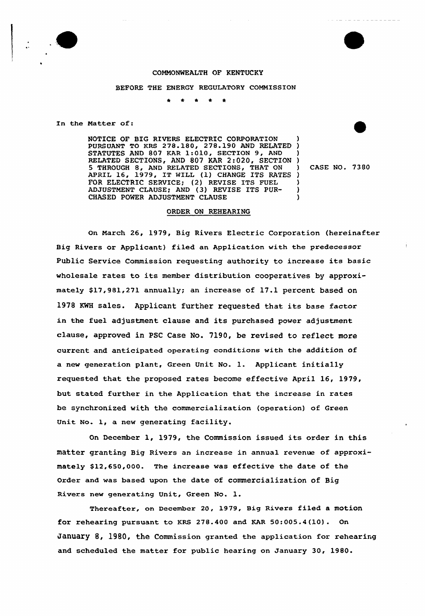

# COMMONWEALTH OF KENTUCKY

#### BEFORE THE ENERGY REGULATORY COMMISSION

In the Matter of:

NOTICE OF BIG RIVERS ELECTRIC CORPORATiON NOTICE OF BIG RIVERS ELECTRIC CORPORATION )<br>PURSUANT TO KRS 278.180, 278.190 AND RELATED ) STATUTES AND 807 KAR 1:010, SECTION 9, AND RELATED SECTIONS, AND 807 KAR 2:020, SECTION 5 THROUGH 8, AND RELATED SECTIONS, THAT ON APRIL 16, 1979, IT WILL (1) CHANGE ITS RATES ) FOR ELECTRIC SERVICE; (2) REVISE ITS FUEL ADJUSTMENT CLAUSE; AND (3) REVISE ITS PUR-CHASED POWER ADJUSTMENT CLAUSE

) CASE NO. 7380

) ) )

) ) )

## ORDER ON REHEARING

On March 26, 1979, Big Rivers Electric Corporation (hereinafter Big Rivers or Applicant) filed an Application with the predecessor Public Service Commission requesting authority to increase its basic wholesale rates to its member distribution cooperatives by approximately \$17,981,271 annually; an increase of 17.1 percent based on 1978 KWH sales. Applicant further requested that its base factor in the fuel adjustment clause and its purchased power adjustment clause, approved in PSC Case No. 7190, be revised to reflect more current and anticipated operating conditions with the addition of <sup>a</sup> new generation plant, Green Unit No. l. Applicant initially requested that the proposed rates become effective April 16, 1979, but stated further in the Application that the increase in rates be synchronized with the commercialization (operation) of Green Unit No. 1, a new generating facility.

On December 1, 1979, the Commission issued its order in this matter granting Big Rivers an increase in annual revenue of approximately \$12,650,000. The increase was effective the date of the Order and was based upon the date of commercialization of Big Rivers new generating Unit, Green No. 1.

Thereafter, on December 20, 1979, Big Rivers filed a motion for rehearing pursuant to KRS 278.400 and KAR 50:005.4(10). On January 8, 1980, the Commission granted the application for rehearing and scheduled the matter for public hearing on January 30, 1980.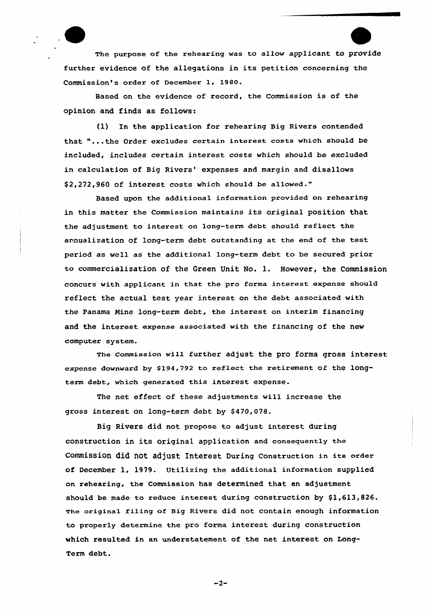

The purpose of the rehearing was to allow applicant to provide further evidence of the allegations in its petition concerning the Commission's order of December 1, 1980.

Based on the evidence of record, the Commission is of the opinion and finds as follows:

0) In the application for rehearing Big Rivers contended that "...the Order excludes certain interest costs which should be included, includes certain interest costs which should be excluded in calculation of Big Rivers' expenses and margin and disallows \$2,272,960 of interest costs which should be allowed."

Based upon the additional information provided on rehearing in this matter the Commission maintains its original position that the adjustment to interest on long-term debt should reflect the annualization of long-term debt outstanding at the end of the test period as well as the additional long-term debt to be secured prior to commercialization of the Green Unit No. 1. However, the Commission concurs with applicant in that the pro forma interest expense should reflect the actual test year interest on the debt associated with the Panama Mine long-term debt, the interest on interim financing and the interest expense associated with the financing of the new computer system.

The commission will further adjust the pro forma gross interest expense downward by \$194,792 to reflect the retirement of the longterm debt, which generated this interest expense.

The net effect of these adjustments vill increase the gross interest on long-term debt by \$470,078.

Big Rivers did not propose to adjust interest during construction in its original application and consequently the commission did not adjust Interest During construction in its order of December 1, 1979. Utilizing the additional information supplied on rehearing, the Commission has determined that an adjustment should be made to reduce interest during construction by  $$1,613,826$ . The original filing of sig Rivers did not contain enough information to properly determine the pro forma interest during construction which resulted in an understatement of the net interest on Long-Term debt.

 $-2-$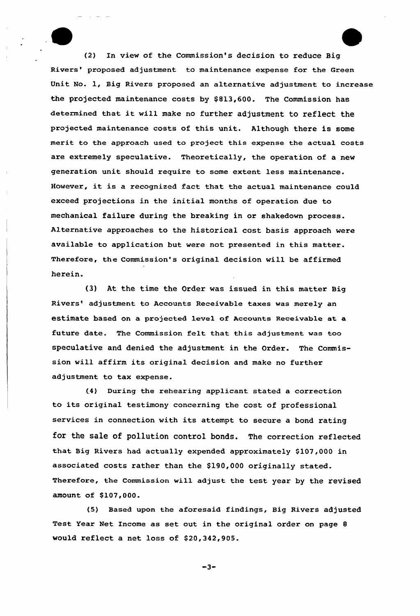(2) In view of the Commission's decision to reduce Big Rivers' proposed adjustment to maintenance expense for the Green Unit No. 1, Big Rivers proposed an alternative adjustment to increase the projected maintenance costs by \$ 813,600. The Commission has determined that it will make no further adjustment to reflect the projected maintenance costs of this unit. Although there is some merit to the approach used to project this expense the actual costs are extremely speculative. Theoretically, the operation of a new generation unit should require to some extent less maintenance. However, it is <sup>a</sup> recognized fact that the actual maintenance could exceed projections in the initial months of operation due to mechanical failure during the breaking in or shakedown process. Alternative approaches to the historical cost basis approach were available to application but were not presented in this matter. Therefore, the commission's original decision vill be affirmed herein.

{3) At the time the Order was issued in this matter Big Rivers' adjustment to Accounts Receivable taxes was merely an estimate based on a projected level of Accounts Receivable at a future date. The Commission felt that this adjustment was too speculative and denied the adjustment in the Order. The Commission will affirm its original decision and make no further adjustment to tax expense.

(4) During the rehearing applicant stated a correction to its original testimony concerning the cost of professional services in connection with its attempt to secure <sup>a</sup> bond rating for the sale of pollution control bonds. The correction reflected that Big Rivers had actually expended approximately \$107,000 in associated costs rather than the \$190,000 originally stated. Therefore, the Commission will adjust the test year by the revised amount of \$107,000.

(5) Based upon the aforesaid findings, Big Rivers adjusted Test Year Net Income as set out in the original order on page <sup>8</sup> would reflect a net loss of \$20,342,905.

 $-3-$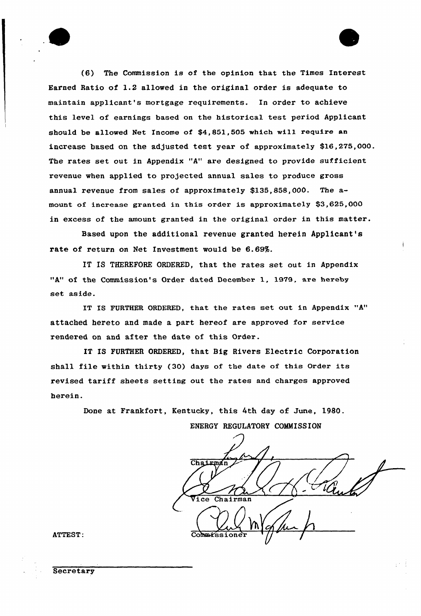

(6) The Commission is of the opinion that the Times Interest Earned Ratio of 1.2 allowed in the original order is adequate to maintain applicant's mortgage requirements. In order to achieve this level of earnings based on the historical test period Applicant should be allowed Net Income of \$4,851,505 which will require an increase based on the adjusted test year of approximately \$16,275,000. The rates set out in Appendix "A" are designed to provide sufficient revenue when applied to projected annual sales to produce gross annual revenue from sales of approximately \$135,858,000. The amount of increase granted in this order is approximately \$3,625,000 in excess of the amount granted in the original order in this matter.

Based upon the additional revenue granted herein Applicant's rate of return on Net Investment would be 6.69%.

IT IS THEREFORE ORDERED, that the rates set out in Appendix "A" of the Commission's Order dated December 1, 1979, are hereby set aside.

IT IS FURTHER ORDERED, that the rates set out in Appendix "A" attached hereto and made a part hereof are approved for service rendered on and after the date of this Order.

IT IS FURTHER ORDERED, that Big Rivers Electric Corporation shall file within thirty (30) days of the date of this Order its revised tariff sheets setting out the rates and charges approved herein.

> Done at Frankfort, Kentucky, this 4th day of June, 1980. ENERGY REGULATORY COMMISSION

Chairman <u>Ulm</u> Chairman Vice

ATTEST:

**Secretary**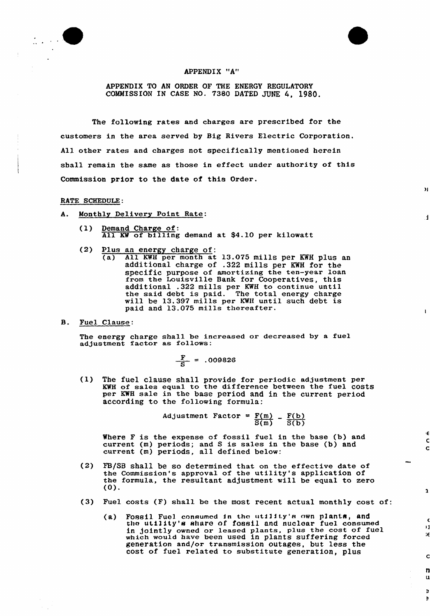



APPENDIX TO AN ORDER OF THE ENERGY REGULATORY COMMISSION IN CASE NO. 73BO DATED JUNE 4, 1980.

The following rates and charges are prescribed for the customers in the area served by Big Rivers Electric Corporation. All other rates and charges not specifically mentioned herein shall remain the same as those in effect under authority of this Commission prior to the date of this Order.

 $\overline{\mathbf{v}}$ 

 $\mathbf{A}$ 

 $\mathbf{I}$ 

٠€  $\mathbf c$  $\mathbf C$ 

 $\mathbf{a}$ 

 $_{11}$  $\mathcal{E}$ 

 $\mathbf C$ 

n u

 $\Rightarrow$  $\Rightarrow$ 

#### RATE SCHEDULE:

- A. Monthly Delivery Point Rate:
	- (1) Demand Charge of: All KW of billing demand at \$4.10 per kilowatt
	- (2) Plus an energy charge of:<br>(a) All KWH per month at
		- All KWH per month at 13.075 mills per KWH plus an additional charge of .322 mills per KWH for the specific purpose of amortizing the ten-year loan from the Louisville Bank for Cooperatives, this additional .322 mills per KWH to continue until the said debt is paid. The total energy charge will be 13.397 mills per KWH until such debt is paid and 13.075 mills thereafter.
- B. Fuel Clause:

The energy charge shall be increased or decreased by a fuel adjustment factor as follows:

$$
\frac{F}{S} = .009826
$$

(1) The fuel clause shall provide for periodic adjustment per KWH of sales equal to the difference between the fuel costs per KWH sale in the base period and in the current period according to the following formula:

> Adjustment Factor =  $\underline{F(m)}$  \_  $\underline{F(b)}$  $\overline{S(m)}$   $\overline{S(b)}$

Where F is the expense of fossil fuel in the base (b) and current (m) periods; and S is sales in the base (b) and current (m) periods, all defined below:

- (2) FB/SB shall be so determined that on the effective date of the Commission's approval of the utility's application of the formula, the resultant adjustment will be equal to zero (0).
- (3) Fuel costs (F) shall be the most recent actual monthly cost of:
	- (a) Fossil Fuel consumed in the utility's own plants, and the utility's share of fossil and nuclear fuel consume in jointly owned or leased plants, plus the cost of fuel which would have been used in plants suffering forced generation and/or transmission outages, but less the cost of fuel related to substitute generation, plus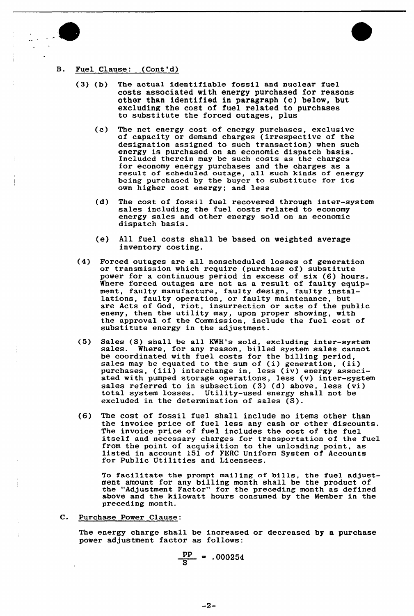



## B. Fuel Clause: (Cont'd)

- (3) (b) The actual identifiable fossil and nuclear fuel costs associated with energy purchased for reasons other than identified in paragraph (c) below, but excluding the cost of fuel related to purchases to substitute the forced outages, plus
	- (c) The net energy cost of energy purchases, exclusive of capacity or demand charges (irrespective of the designation assigned to such transaction) when such energy is purchased on an economic dispatch basis. Included therein may be such costs as the charges for economy energy purchases and the charges as <sup>a</sup> result of scheduled outage, all such kinds of energy being purchased by the buyer to substitute for its own higher cost energy; and less
	- (d) The cost of fossil fuel recovered through inter-system sales including the fuel costs related to economy energy sales and other energy sold on an economic dispatch basis.
	- (e) All fuel costs shall be based on weighted average inventory costing.
- (4) Forced outages are all nonscheduled losses of generation or transmission which require (purchase of) substitute power for a continuous period in excess of six (6) hours. Where forced outages are not as a result of faulty equipment, faulty manufacture, faulty design, faulty installations, faulty operation, or faulty maintenance, but are Acts of God, riot, insurrection or acts of the public enemy, then the utility may, upon proper showing, with the approval of the Commission, include the fuel cost of substitute energy in the adjustment.
- (5) Sales (S) shall be all KWH's sold, excluding inter-system sales. Where, for any reason, billed system sales cannot be coordinated with fuel costs for the billing period, sales may be equated to the sum of (i) generation, (ii) sales may be equated to the sum of (i) generation, (ii) purchases, (iii) interchange in, less (iv) energy associated with pumped storage operations, less (v) inter-system sales referred to in subsection ( 3) (d) above, less (vi) total system losses. Utility-used energy shall not be total system losses. Utility-used energy shall not be excluded in the determination of sales (S).
- (6) The cost of fossil fuel shall include no items other than the invoice price of fuel less any cash or other discounts. The invoice price of fuel includes the cost of the fuel<br>itself and necessary charges for transportation of the fuel itself and necessary charges for transportation of the fuel from the point of acquisition to the unloading point, as listed in account 151 of FERC Uniform System of Accounts for Public Utilities and Licensees.

To facilitate the prompt mailing of bills, the fuel adjustment amount for any billing month shall be the product of the "Adjustment Factor" for the preceding month as define above and the kilowatt hours consumed by the Member in the preceding month.

C. Purchase Power Clause:

The energy charge shall be increased or decreased by a purchase power adjustment factor as follows:

$$
\frac{\text{pp}}{\text{S}} = .000254
$$

 $-2-$